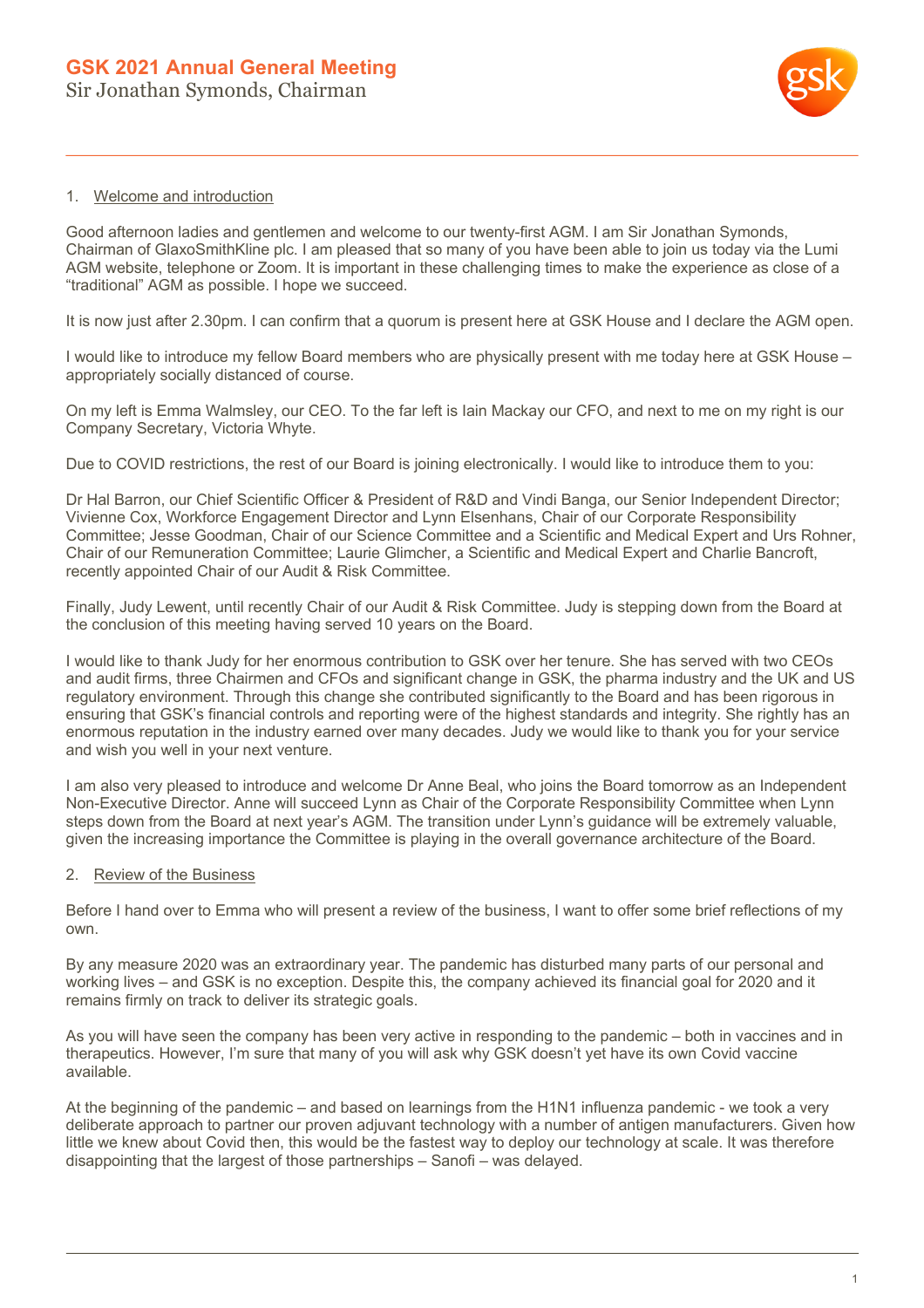

## 1. Welcome and introduction

Good afternoon ladies and gentlemen and welcome to our twenty-first AGM. I am Sir Jonathan Symonds, Chairman of GlaxoSmithKline plc. I am pleased that so many of you have been able to join us today via the Lumi AGM website, telephone or Zoom. It is important in these challenging times to make the experience as close of a "traditional" AGM as possible. I hope we succeed.

It is now just after 2.30pm. I can confirm that a quorum is present here at GSK House and I declare the AGM open.

I would like to introduce my fellow Board members who are physically present with me today here at GSK House – appropriately socially distanced of course.

On my left is Emma Walmsley, our CEO. To the far left is Iain Mackay our CFO, and next to me on my right is our Company Secretary, Victoria Whyte.

Due to COVID restrictions, the rest of our Board is joining electronically. I would like to introduce them to you:

Dr Hal Barron, our Chief Scientific Officer & President of R&D and Vindi Banga, our Senior Independent Director; Vivienne Cox, Workforce Engagement Director and Lynn Elsenhans, Chair of our Corporate Responsibility Committee; Jesse Goodman, Chair of our Science Committee and a Scientific and Medical Expert and Urs Rohner, Chair of our Remuneration Committee; Laurie Glimcher, a Scientific and Medical Expert and Charlie Bancroft, recently appointed Chair of our Audit & Risk Committee.

Finally, Judy Lewent, until recently Chair of our Audit & Risk Committee. Judy is stepping down from the Board at the conclusion of this meeting having served 10 years on the Board.

I would like to thank Judy for her enormous contribution to GSK over her tenure. She has served with two CEOs and audit firms, three Chairmen and CFOs and significant change in GSK, the pharma industry and the UK and US regulatory environment. Through this change she contributed significantly to the Board and has been rigorous in ensuring that GSK's financial controls and reporting were of the highest standards and integrity. She rightly has an enormous reputation in the industry earned over many decades. Judy we would like to thank you for your service and wish you well in your next venture.

I am also very pleased to introduce and welcome Dr Anne Beal, who joins the Board tomorrow as an Independent Non-Executive Director. Anne will succeed Lynn as Chair of the Corporate Responsibility Committee when Lynn steps down from the Board at next year's AGM. The transition under Lynn's guidance will be extremely valuable, given the increasing importance the Committee is playing in the overall governance architecture of the Board.

## 2. Review of the Business

Before I hand over to Emma who will present a review of the business, I want to offer some brief reflections of my own.

By any measure 2020 was an extraordinary year. The pandemic has disturbed many parts of our personal and working lives – and GSK is no exception. Despite this, the company achieved its financial goal for 2020 and it remains firmly on track to deliver its strategic goals.

As you will have seen the company has been very active in responding to the pandemic – both in vaccines and in therapeutics. However, I'm sure that many of you will ask why GSK doesn't yet have its own Covid vaccine available.

At the beginning of the pandemic – and based on learnings from the H1N1 influenza pandemic - we took a very deliberate approach to partner our proven adjuvant technology with a number of antigen manufacturers. Given how little we knew about Covid then, this would be the fastest way to deploy our technology at scale. It was therefore disappointing that the largest of those partnerships – Sanofi – was delayed.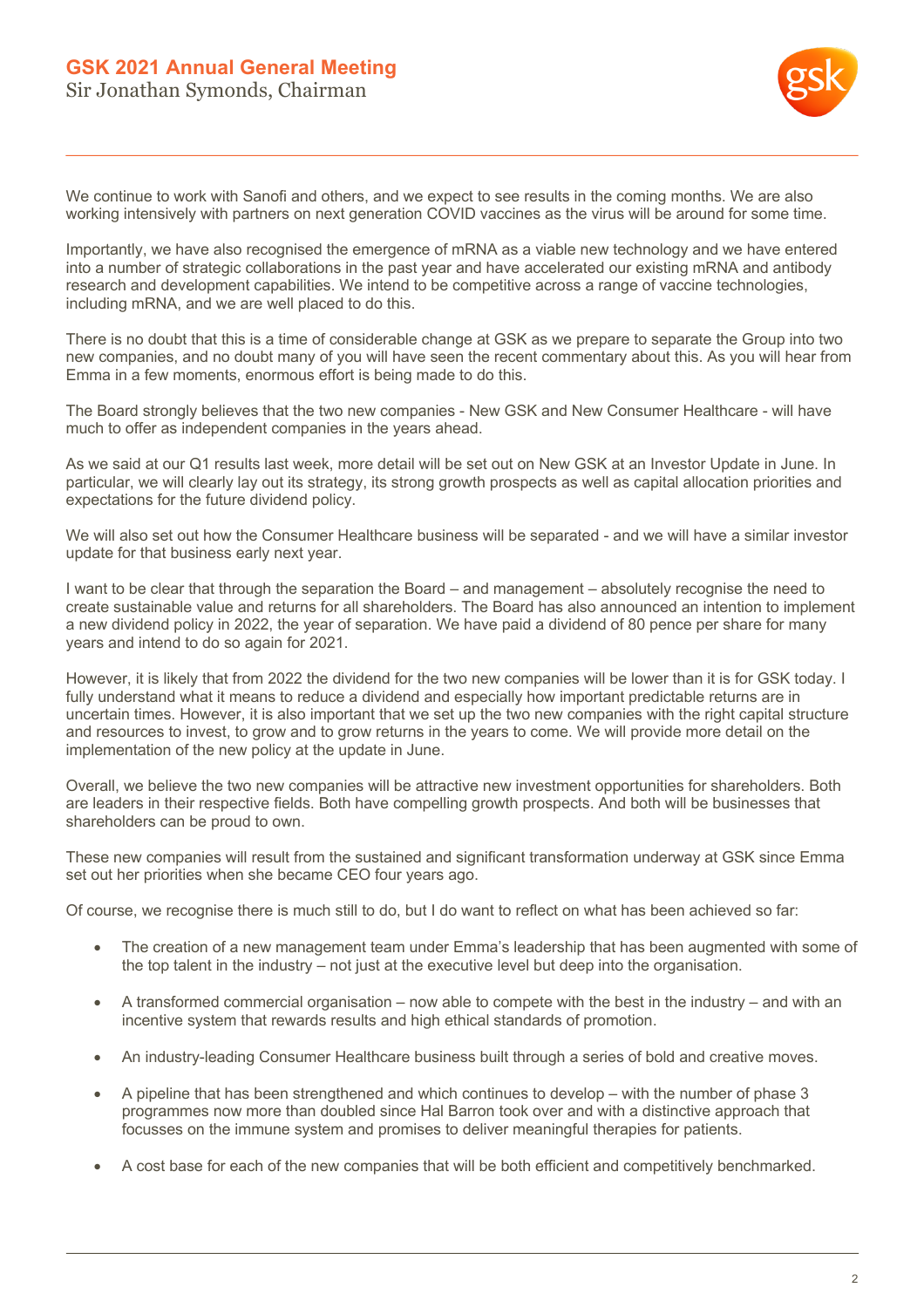

We continue to work with Sanofi and others, and we expect to see results in the coming months. We are also working intensively with partners on next generation COVID vaccines as the virus will be around for some time.

Importantly, we have also recognised the emergence of mRNA as a viable new technology and we have entered into a number of strategic collaborations in the past year and have accelerated our existing mRNA and antibody research and development capabilities. We intend to be competitive across a range of vaccine technologies, including mRNA, and we are well placed to do this.

There is no doubt that this is a time of considerable change at GSK as we prepare to separate the Group into two new companies, and no doubt many of you will have seen the recent commentary about this. As you will hear from Emma in a few moments, enormous effort is being made to do this.

The Board strongly believes that the two new companies - New GSK and New Consumer Healthcare - will have much to offer as independent companies in the years ahead.

As we said at our Q1 results last week, more detail will be set out on New GSK at an Investor Update in June. In particular, we will clearly lay out its strategy, its strong growth prospects as well as capital allocation priorities and expectations for the future dividend policy.

We will also set out how the Consumer Healthcare business will be separated - and we will have a similar investor update for that business early next year.

I want to be clear that through the separation the Board – and management – absolutely recognise the need to create sustainable value and returns for all shareholders. The Board has also announced an intention to implement a new dividend policy in 2022, the year of separation. We have paid a dividend of 80 pence per share for many years and intend to do so again for 2021.

However, it is likely that from 2022 the dividend for the two new companies will be lower than it is for GSK today. I fully understand what it means to reduce a dividend and especially how important predictable returns are in uncertain times. However, it is also important that we set up the two new companies with the right capital structure and resources to invest, to grow and to grow returns in the years to come. We will provide more detail on the implementation of the new policy at the update in June.

Overall, we believe the two new companies will be attractive new investment opportunities for shareholders. Both are leaders in their respective fields. Both have compelling growth prospects. And both will be businesses that shareholders can be proud to own.

These new companies will result from the sustained and significant transformation underway at GSK since Emma set out her priorities when she became CEO four years ago.

Of course, we recognise there is much still to do, but I do want to reflect on what has been achieved so far:

- The creation of a new management team under Emma's leadership that has been augmented with some of the top talent in the industry – not just at the executive level but deep into the organisation.
- A transformed commercial organisation now able to compete with the best in the industry and with an incentive system that rewards results and high ethical standards of promotion.
- An industry-leading Consumer Healthcare business built through a series of bold and creative moves.
- A pipeline that has been strengthened and which continues to develop with the number of phase 3 programmes now more than doubled since Hal Barron took over and with a distinctive approach that focusses on the immune system and promises to deliver meaningful therapies for patients.
- A cost base for each of the new companies that will be both efficient and competitively benchmarked.